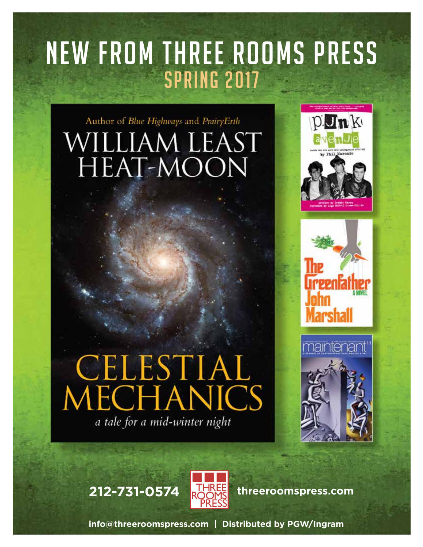## NEW FROM THREE ROOMS PRESS SPRING 2017

## Author of Blue Highways and PrairyErth WILLIAM LEAST HEAT-MOON

# CELESTIAL<br>MECHANICS a tale for a mid-winter night











**info@threeroomspress.com | Distributed by PGW/Ingram**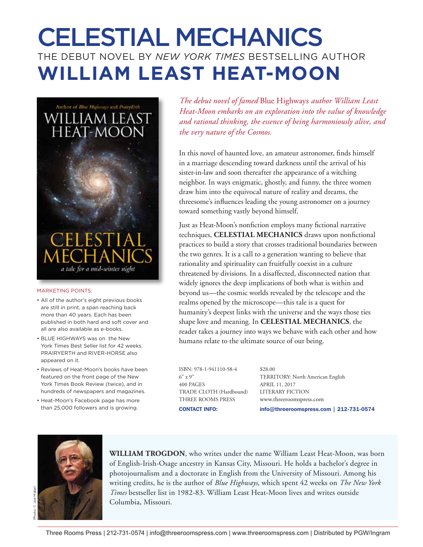## CELESTIAL MECHANICS THE DEBUT NOVEL BY *NEW YORK TIMES* BESTSELLING AUTHOR **WILLIAM LEAST HEAT-MOON**



#### MARKETING POINTS:

- All of the author's eight previous books are still in print, a span reaching back more than 40 years. Each has been published in both hard and soft cover and all are also available as e-books.
- BLUE HIGHWAYS was on the New York Times Best Seller list for 42 weeks. PRAIRYERTH and RIVER-HORSE also appeared on it.
- Reviews of Heat-Moon's books have been featured on the front page of the New York Times Book Review (twice), and in hundreds of newspapers and magazines.
- Heat-Moon's Facebook page has more than 25,000 followers and is growing.

*The debut novel of famed* Blue Highways *author William Least Heat-Moon embarks on an exploration into the value of knowledge and rational thinking, the essence of being harmoniously alive, and the very nature of the Cosmos.*

In this novel of haunted love, an amateur astronomer, finds himself in a marriage descending toward darkness until the arrival of his sister-in-law and soon thereafter the appearance of a witching neighbor. In ways enigmatic, ghostly, and funny, the three women draw him into the equivocal nature of reality and dreams, the threesome's influences leading the young astronomer on a journey toward something vastly beyond himself.

Just as Heat-Moon's nonfiction employs many fictional narrative techniques, **CELESTIAL MECHANICS** draws upon nonfictional practices to build a story that crosses traditional boundaries between the two genres. It is a call to a generation wanting to believe that rationality and spirituality can fruitfully coexist in a culture threatened by divisions. In a disaffected, disconnected nation that widely ignores the deep implications of both what is within and beyond us—the cosmic worlds revealed by the telescope and the realms opened by the microscope—this tale is a quest for humanity's deepest links with the universe and the ways those ties shape love and meaning. In **CELESTIAL MECHANICS**, the reader takes a journey into ways we behave with each other and how humans relate to the ultimate source of our being.

ISBN: 978-1-941110-58-4 \$28.00 400 PAGES APRIL 11, 2017 TRADE CLOTH (Hardbound) LITERARY FICTION THREE ROOMS PRESS www.threeroomspress.com

6" x 9" TERRITORY: North American English CONTACT INFO: info@threeroomspress.com | 212-731-0574



**WILLIAM TROGDON**, who writes under the name William Least Heat-Moon, was born of English-Irish-Osage ancestry in Kansas City, Missouri. He holds a bachelor's degree in photojournalism and a doctorate in English from the University of Missouri. Among his writing credits, he is the author of *Blue Highways*, which spent 42 weeks on *The New York Times* bestseller list in 1982-83. William Least Heat-Moon lives and writes outside Columbia, Missouri.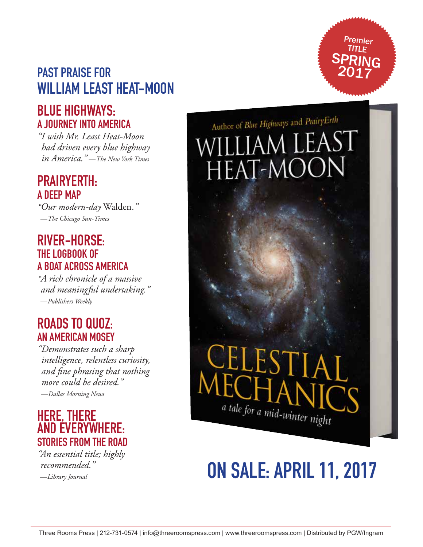## PAST PRAISE FOR WILLIAM LEAST HEAT-MOON

## BLUE HIGHWAYS: A JOURNEY INTO AMERICA

*"I wish Mr. Least Heat-Moon had driven every blue highway in America."* —*The New York Times*

## PRAIRYERTH: A DEEP MAP

*"Our modern-day* Walden*."*  —*The Chicago Sun-Times*

## RIVER-HORSE: THE LOGBOOK OF A BOAT ACROSS AMERICA

*"A rich chronicle of a massive and meaningful undertaking."*  —*Publishers Weekly*

## ROADS TO QUOZ: AN AMERICAN MOSEY

*"Demonstrates such a sharp intelligence, relentless curiosity, and fine phrasing that nothing more could be desired."*  —*Dallas Morning News*



*"An essential title; highly recommended."*  —*Library Journal*

Author of Blue Highways and PrairyErth william LEA HEAT-MOON

Premier TITLE SPRING 2017

# JEST a tale for a mid-winter night

## ON SALE: APRIL 11, 2017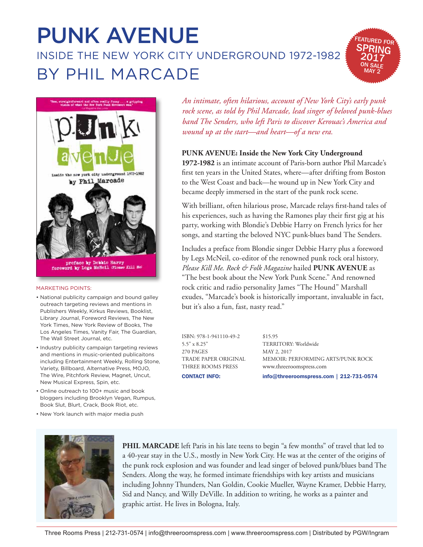## PUNK AVENUE INSIDE THE NEW YORK CITY UNDERGROUND 1972-1982 BY PHIL MARCADE





#### MARKETING POINTS:

- National publicity campaign and bound galley outreach targeting reviews and mentions in Publishers Weekly, Kirkus Reviews, Booklist, Library Journal, Foreword Reviews, The New York Times, New York Review of Books, The Los Angeles Times, Vanity Fair, The Guardian, The Wall Street Journal, etc.
- Industry publicity campaign targeting reviews and mentions in music-oriented publicaitons including Entertainment Weekly, Rolling Stone, Variety, Billboard, Alternative Press, MOJO, The Wire, Pitchfork Review, Magnet, Uncut, New Musical Express, Spin, etc.
- Online outreach to 100+ music and book bloggers including Brooklyn Vegan, Rumpus, Book Slut, Blurt, Crack, Book Riot, etc.
- New York launch with major media push

*An intimate, often hilarious, account of New York City's early punk rock scene, as told by Phil Marcade, lead singer of beloved punk-blues band The Senders, who left Paris to discover Kerouac's America and wound up at the start—and heart—of a new era.*

### **PUNK AVENUE: Inside the New York City Underground**

**1972-1982** is an intimate account of Paris-born author Phil Marcade's first ten years in the United States, where—after drifting from Boston to the West Coast and back—he wound up in New York City and became deeply immersed in the start of the punk rock scene.

With brilliant, often hilarious prose, Marcade relays first-hand tales of his experiences, such as having the Ramones play their first gig at his party, working with Blondie's Debbie Harry on French lyrics for her songs, and starting the beloved NYC punk-blues band The Senders.

Includes a preface from Blondie singer Debbie Harry plus a foreword by Legs McNeil, co-editor of the renowned punk rock oral history, *Please Kill Me*. *Rock & Folk Magazine* hailed **PUNK AVENUE** as "The best book about the New York Punk Scene." And renowned rock critic and radio personality James "The Hound" Marshall exudes, "Marcade's book is historically important, invaluable in fact, but it's also a fun, fast, nasty read."

ISBN: 978-1-941110-49-2 \$15.95 5.5" x 8.25" TERRITORY: Worldwide 270 PAGES MAY 2, 2017 THREE ROOMS PRESS www.threeroomspress.com

TRADE PAPER ORIGINAL MEMOIR: PERFORMING ARTS/PUNK ROCK CONTACT INFO: info@threeroomspress.com | 212-731-0574



**PHIL MARCADE** left Paris in his late teens to begin "a few months" of travel that led to a 40-year stay in the U.S., mostly in New York City. He was at the center of the origins of the punk rock explosion and was founder and lead singer of beloved punk/blues band The Senders. Along the way, he formed intimate friendships with key artists and musicians including Johnny Thunders, Nan Goldin, Cookie Mueller, Wayne Kramer, Debbie Harry, Sid and Nancy, and Willy DeVille. In addition to writing, he works as a painter and graphic artist. He lives in Bologna, Italy.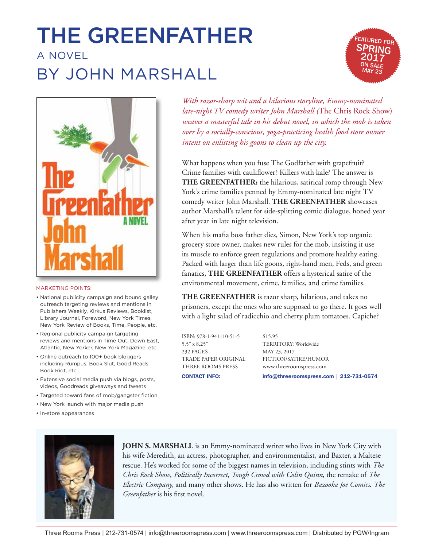## THE GREENFATHER A NOVEL BY JOHN MARSHALL





#### MARKETING POINTS:

- National publicity campaign and bound galley outreach targeting reviews and mentions in Publishers Weekly, Kirkus Reviews, Booklist, Library Journal, Foreword, New York Times, New York Review of Books, Time, People, etc.
- Regional publicity campaign targeting reviews and mentions in Time Out, Down East, Atlantic, New Yorker, New York Magazine, etc.
- Online outreach to 100+ book bloggers including Rumpus, Book Slut, Good Reads, Book Riot, etc.
- Extensive social media push via blogs, posts, videos, Goodreads giveaways and tweets
- Targeted toward fans of mob/gangster fiction
- New York launch with major media push
- In-store appearances



**JOHN S. MARSHALL** is an Emmy-nominated writer who lives in New York City with his wife Meredith, an actress, photographer, and environmentalist, and Baxter, a Maltese rescue. He's worked for some of the biggest names in television, including stints with *The Chris Rock Show*, *Politically Incorrect*, *Tough Crowd with Colin Quinn*, the remake of *The Electric Company*, and many other shows. He has also written for *Bazooka Joe Comics*. *The Greenfather* is his first novel.

*With razor-sharp wit and a hilarious storyline, Emmy-nominated late-night TV comedy writer John Marshall (*The Chris Rock Show) *weaves a masterful tale in his debut novel, in which the mob is taken over by a socially-conscious, yoga-practicing health food store owner intent on enlisting his goons to clean up the city.*

What happens when you fuse The Godfather with grapefruit? Crime families with cauliflower? Killers with kale? The answer is **THE GREENFATHER:** the hilarious, satirical romp through New York's crime families penned by Emmy-nominated late night TV comedy writer John Marshall. **THE GREENFATHER** showcases author Marshall's talent for side-splitting comic dialogue, honed year after year in late night television.

When his mafia boss father dies, Simon, New York's top organic grocery store owner, makes new rules for the mob, insisting it use its muscle to enforce green regulations and promote healthy eating. Packed with larger than life goons, right-hand men, Feds, and green fanatics, **THE GREENFATHER** offers a hysterical satire of the environmental movement, crime, families, and crime families.

**THE GREENFATHER** is razor sharp, hilarious, and takes no prisoners, except the ones who are supposed to go there. It goes well with a light salad of radicchio and cherry plum tomatoes. Capiche?

ISBN: 978-1-941110-51-5 \$15.95 5.5" x 8.25" TERRITORY: Worldwide 232 PAGES MAY 23, 2017

TRADE PAPER ORIGINAL FICTION/SATIRE/HUMOR THREE ROOMS PRESS www.threeroomspress.com CONTACT INFO: info@threeroomspress.com | 212-731-0574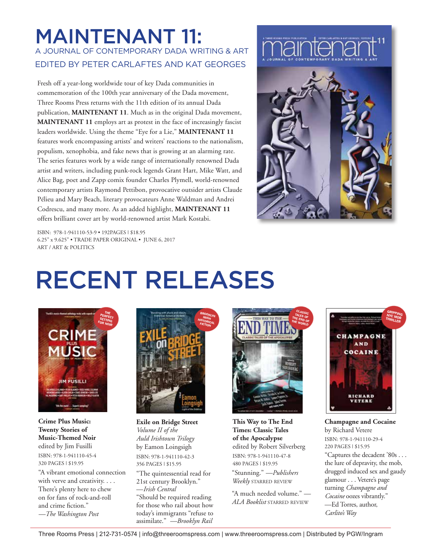## MAINTENANT 11: A JOURNAL OF CONTEMPORARY DADA WRITING & ART EDITED BY PETER CARLAFTES AND KAT GEORGES

Fresh off a year-long worldwide tour of key Dada communities in commemoration of the 100th year anniversary of the Dada movement, Three Rooms Press returns with the 11th edition of its annual Dada publication, **MAINTENANT 11**. Much as in the original Dada movement, **MAINTENANT 11** employs art as protest in the face of increasingly fascist leaders worldwide. Using the theme "Eye for a Lie," **MAINTENANT 11** features work encompassing artists' and writers' reactions to the nationalism, populism, xenophobia, and fake news that is growing at an alarming rate. The series features work by a wide range of internationally renowned Dada artist and writers, including punk-rock legends Grant Hart, Mike Watt, and Alice Bag, poet and Zapp comix founder Charles Plymell, world-renowned contemporary artists Raymond Pettibon, provocative outsider artists Claude Pélieu and Mary Beach, literary provocateurs Anne Waldman and Andrei Codrescu, and many more. As an added highlight, **MAINTENANT 11** offers brilliant cover art by world-renowned artist Mark Kostabi.



ISBN: 978-1-941110-53-9 • 192PAGES | \$18.95 6.25" x 9.625" • TRADE PAPER ORIGINAL • JUNE 6, 2017 ART / ART & POLITICS

## RECENT RELEASES



ISBN: 978-1-941110-45-4 320 PAGES | \$19.95 **Crime Plus Music: Twenty Stories of Music-Themed Noir** edited by Jim Fusilli

"A vibrant emotional connection with verve and creativity. . . . There's plenty here to chew on for fans of rock-and-roll and crime fiction." *—The Washington Post*



"The quintessential read for 21st century Brooklyn." —*Irish Central* "Should be required reading for those who rail about how today's immigrants "refuse to assimilate." *—Brooklyn Rail* ISBN: 978-1-941110-42-3 356 PAGES | \$15.95 **Exile on Bridge Street** *Volume II of the Auld Irishtown Trilogy* by Eamon Loingsigh



ISBN: 978-1-941110-47-8 480 PAGES | \$19.95 **This Way to The End Times: Classic Tales of the Apocalypse** edited by Robert Silverberg

"Stunning." *—Publishers Weekly* starred review

"A much needed volume." *— ALA Booklist* starred review



"Captures the decadent '80s . . . the lure of depravity, the mob, drugged induced sex and gaudy glamour . . . Vetere's page turning *Champagne and Cocaine* oozes vibrantly." —Ed Torres, author, *Carlito's Way* ISBN: 978-1-941110-29-4 220 PAGES | \$15.95 **Champagne and Cocaine** by Richard Vetere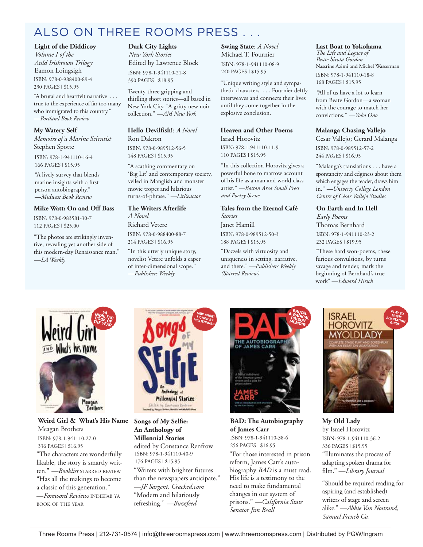## ALSO ON THREE ROOMS PRESS . . .

#### **Light of the Diddicoy**

ISBN: 978-0-988400-89-4 230 PAGES | \$15.95 *Volume I of the Auld Irishtown Trilogy* Eamon Loingsigh

"A brutal and heartfelt narrative . . . true to the experience of far too many who immigrated to this country." —*Portland Book Review*

#### **My Watery Self**

*Memoirs of a Marine Scientist* Stephen Spotte

ISBN: 978-1-941110-16-4 166 PAGES | \$15.95

"A lively survey that blends marine insights with a firstperson autobiography." —*Midwest Book Review*

#### **Mike Watt: On and Off Bass**

ISBN: 978-0-983581-30-7 112 PAGES | \$25.00

"The photos are strikingly inventive, revealing yet another side of this modern-day Renaissance man." *—LA Weekly*

### **Dark City Lights**

ISBN: 978-1-941110-21-8 390 PAGES | \$18.95 *New York Stories* Edited by Lawrence Block

Twenty-three gripping and thirlling short stories—all based in New York City. "A gritty new noir collection." *—AM New York*

#### **Hello Devilfish!**: *A Novel*  Ron Dakron

ISBN: 978-0-989512-56-5 148 PAGES | \$15.95

"A scathing commentary on 'Big Lit' and contemporary society, veiled in Manglish and monster movie tropes and hilarious turns-of-phrase." *—LitReactor*

#### **The Writers Afterlife**

*A Novel* Richard Vetere

ISBN: 978-0-988400-88-7 214 PAGES | \$16.95

"In this utterly unique story, novelist Vetere unfolds a caper of inter-dimensional scope." *—Publishers Weekly*

**Swing State**: *A Novel*  Michael T. Fournier

ISBN: 978-1-941110-08-9 240 PAGES | \$15.95

"Unique writing style and sympathetic characters . . . Fournier deftly interweaves and connects their lives until they come together in the explosive conclusion.

#### **Heaven and Other Poems** Israel Horovitz

ISBN: 978-1-941110-11-9 110 PAGES | \$15.95

"In this collection Horovitz gives a powerful bone to marrow account of his life as a man and world class artist." *—Boston Area Small Press and Poetry Scene*

### **Tales from the Eternal Café**  *Stories*

ISBN: 978-0-989512-50-3 188 PAGES | \$15.95 Janet Hamill

"Dazzels with virtuosity and uniqueness in setting, narrative, and there." *—Publishers Weekly (Starred Review)*

### **Last Boat to Yokohama**

ISBN: 978-1-941110-18-8 168 PAGES | \$15.95 *The Life and Legacy of Beate Sirota Gordon* Nassrine Azimi and Michel Wasserman

*"*All of us have a lot to learn from Beate Gordon—a woman with the courage to match her convictions." *—Yoko Ono*

#### **Malanga Chasing Vallejo**

ISBN: 978-0-989512-57-2 244 PAGES | \$16.95 Cesar Vallejo; Gerard Malanga

"Malanga's translations . . . have a spontaneity and edginess about them which engages the reader, draws him in." *—Univerty College London Centre of César Vallejo Studies*

### **On Earth and In Hell**

ISBN: 978-1-941110-23-2 232 PAGES | \$19.95 *Early Poems* Thomas Bernhard

"These hard won-poems, these furious convulsions, by turns savage and tender, mark the beginning of Bernhard's true work" —*Edward Hirsch*



"The characters are wonderfully likable, the story is smartly written." *—Booklist* starred review "Has all the makings to become a classic of this generation." —*Foreword Reviews* indiefab ya book of the year ISBN: 978-1-941110-27-0 336 PAGES | \$16.95 **Weird Girl & What's His Name** Meagan Brothers

Brothers



"Writers with brighter futures than the newspapers anticipate." *—JF Sargent, Cracked.com* "Modern and hilariously refreshing." *—Buzzfeed* ISBN: 978-1-941110-40-9 176 PAGES | \$15.95 **Songs of My Selfie: An Anthology of Millennial Stories** edited by Constance Renfrow



"For those interested in prison reform, James Carr's autobiography *BAD* is a must read. His life is a testimony to the need to make fundamental changes in our system of prisons." *—California State Senator Jim Beall* ISBN: 978-1-941110-38-6 256 PAGES | \$16.95 **BAD: The Autobiography of James Carr**



"Illuminates the process of adapting spoken drama for film." —*Library Journal* ISBN: 978-1-941110-36-2 336 PAGES | \$15.95 **My Old Lady** by Israel Horovitz

"Should be required reading for aspiring (and established) writers of stage and screen alike." —*Abbie Van Nostrand, Samuel French Co.*

## FICTION BY MILLIENNIALS